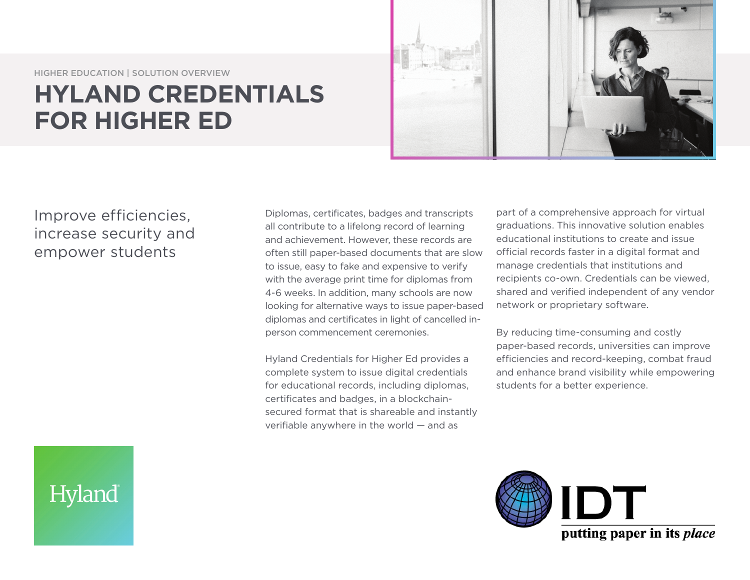HIGHER EDUCATION | SOLUTION OVERVIEW

## **HYLAND CREDENTIALS FOR HIGHER ED**



## Improve efficiencies, increase security and empower students

Diplomas, certificates, badges and transcripts all contribute to a lifelong record of learning and achievement. However, these records are often still paper-based documents that are slow to issue, easy to fake and expensive to verify with the average print time for diplomas from 4-6 weeks. In addition, many schools are now looking for alternative ways to issue paper-based diplomas and certificates in light of cancelled inperson commencement ceremonies.

Hyland Credentials for Higher Ed provides a complete system to issue digital credentials for educational records, including diplomas, certificates and badges, in a blockchainsecured format that is shareable and instantly verifiable anywhere in the world — and as

part of a comprehensive approach for virtual graduations. This innovative solution enables educational institutions to create and issue official records faster in a digital format and manage credentials that institutions and recipients co-own. Credentials can be viewed, shared and verified independent of any vendor network or proprietary software.

By reducing time-consuming and costly paper-based records, universities can improve efficiencies and record-keeping, combat fraud and enhance brand visibility while empowering students for a better experience.